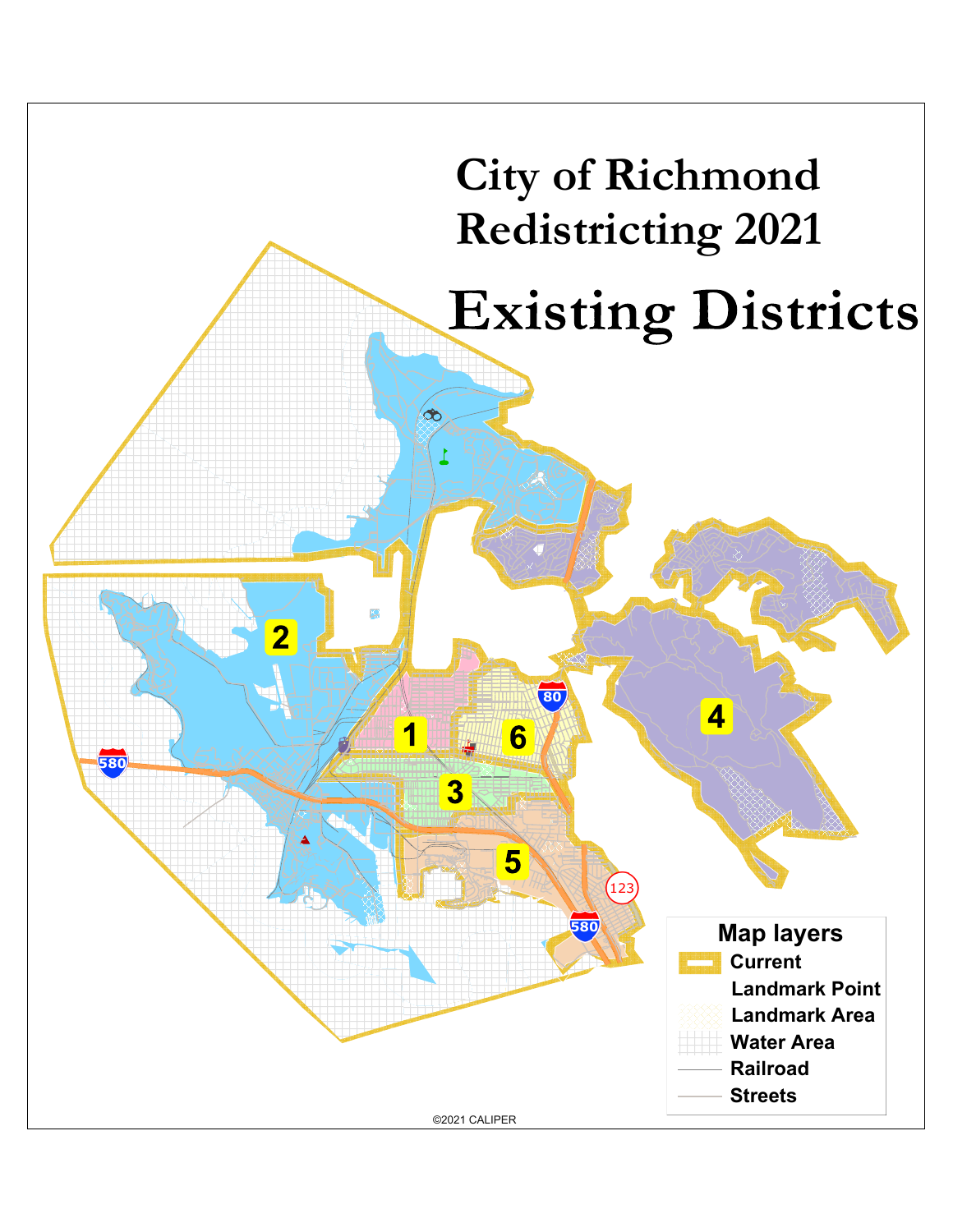